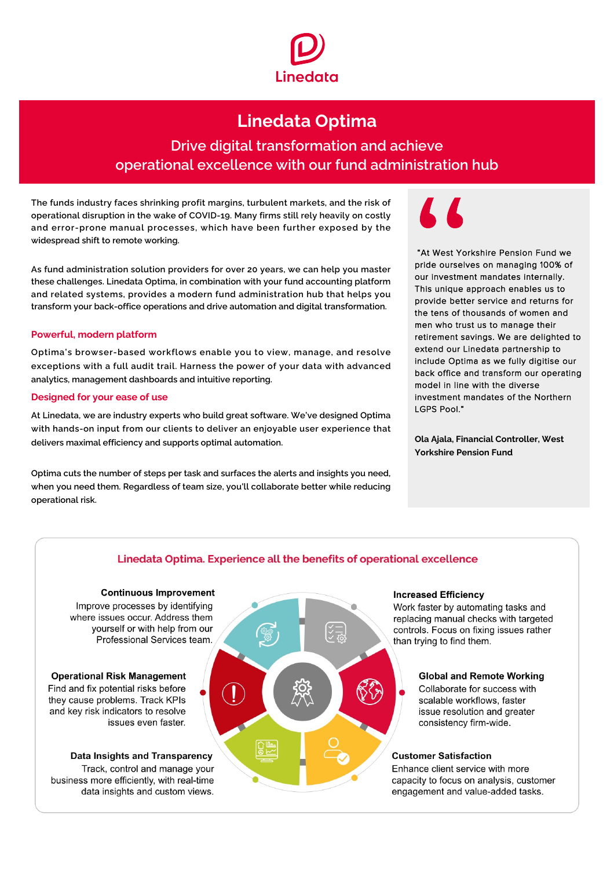

# **Linedata Optima**

## Drive digital transformation and achieve operational excellence with our fund administration hub

The funds industry faces shrinking profit margins, turbulent markets, and the risk of operational disruption in the wake of COVID-19. Many firms still rely heavily on costly and error-prone manual processes, which have been further exposed by the widespread shift to remote working.

As fund administration solution providers for over 20 years, we can help you master these challenges. Linedata Optima, in combination with your fund accounting platform and related systems, provides a modern fund administration hub that helps you transform your back-office operations and drive automation and digital transformation.

### **Powerful, modern platform**

Optima's browser-based workflows enable you to view, manage, and resolve exceptions with a full audit trail. Harness the power of your data with advanced analytics, management dashboards and intuitive reporting.

### **Designed for your ease of use**

At Linedata, we are industry experts who build great software. We've designed Optima with hands-on input from our clients to deliver an enjoyable user experience that delivers maximal efficiency and supports optimal automation.

Optima cuts the number of steps per task and surfaces the alerts and insights you need, when you need them. Regardless of team size, you'll collaborate better while reducing operational risk.

"At West Yorkshire Pension Fund we pride ourselves on managing 100% of our investment mandates internally. This unique approach enables us to provide better service and returns for the tens of thousands of women and men who trust us to manage their retirement savings. We are delighted to extend our Linedata partnership to include Optima as we fully digitise our back office and transform our operating model in line with the diverse investment mandates of the Northern LGPS Pool."

**Ola Ajala, Financial Controller, West Yorkshire Pension Fund** 

### Linedata Optima. Experience all the benefits of operational excellence

### **Continuous Improvement**

Improve processes by identifying where issues occur. Address them vourself or with help from our Professional Services team.

**Operational Risk Management** Find and fix potential risks before they cause problems. Track KPIs and key risk indicators to resolve issues even faster.

Data Insights and Transparency

Track, control and manage your business more efficiently, with real-time data insights and custom views.



#### **Increased Efficiency**

Work faster by automating tasks and replacing manual checks with targeted controls. Focus on fixing issues rather than trying to find them.

### **Global and Remote Working**

Collaborate for success with scalable workflows, faster issue resolution and greater consistency firm-wide.

### **Customer Satisfaction**

Enhance client service with more capacity to focus on analysis, customer engagement and value-added tasks.